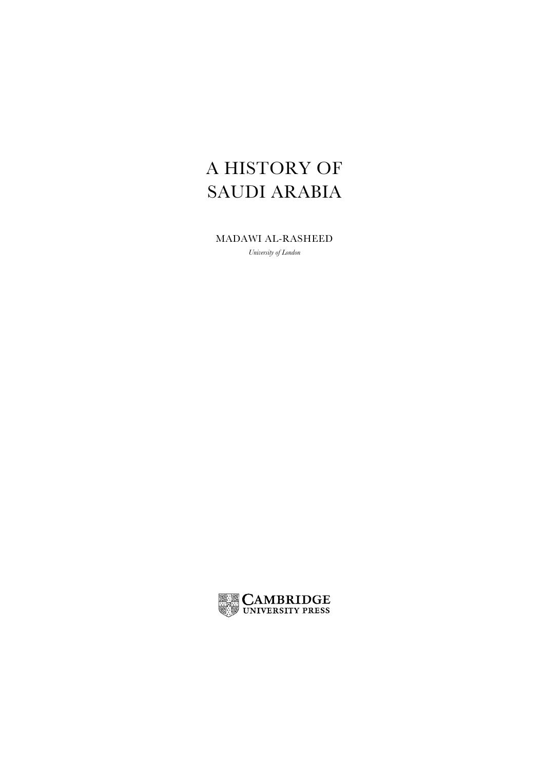# A HISTORY OF SAUDI ARABIA

MADAWI AL-RASHEED

*University of London*

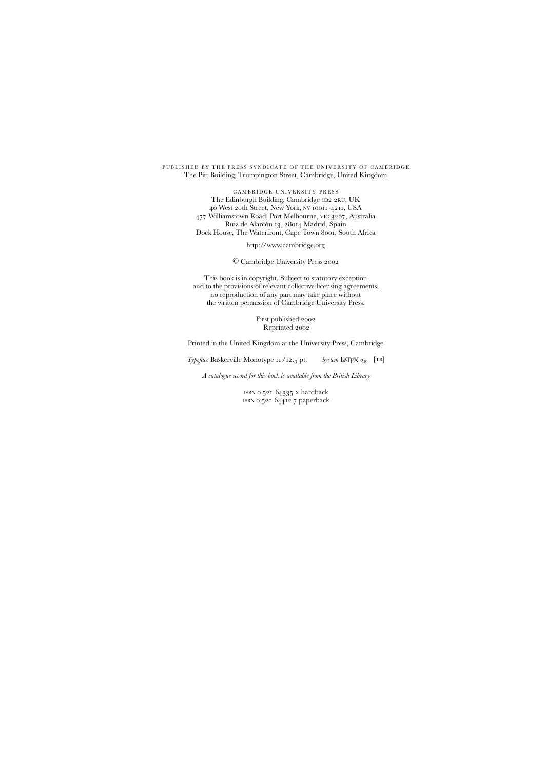#### PUBLISHED BY THE PRESS SYNDICATE OF THE UNIVERSITY OF CAMBRIDGE The Pitt Building, Trumpington Street, Cambridge, United Kingdom

CAMBRIDGE UNIVERSITY PRESS The Edinburgh Building, Cambridge CB2 2RU, UK 40 West 20th Street, New York, NY 10011-4211, USA 477 Williamstown Road, Port Melbourne, VIC 3207, Australia Ruiz de Alarcón 13, 28014 Madrid, Spain Dock House, The Waterfront, Cape Town 8001, South Africa

http://www.cambridge.org

<sup>C</sup> Cambridge University Press

This book is in copyright. Subject to statutory exception and to the provisions of relevant collective licensing agreements, no reproduction of any part may take place without the written permission of Cambridge University Press.

#### First published Reprinted 2002

Printed in the United Kingdom at the University Press, Cambridge

*Typeface* Baskerville Monotype 11/12.5 pt. *System* LATEX<sub>2ε</sub> [TB]

*A catalogue record for this book is available from the British Library*

ISBN 0 $521$  64335 X hardback ISBN 0 521 64412 7 paperback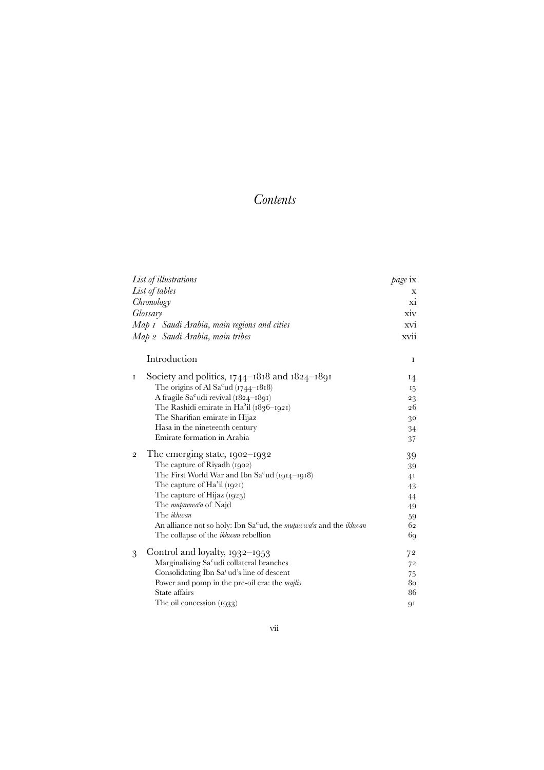### *Contents*

| List of illustrations                                                                         |                |  |
|-----------------------------------------------------------------------------------------------|----------------|--|
| List of tables                                                                                |                |  |
| Chronology                                                                                    | XÌ.            |  |
| Glossary                                                                                      |                |  |
| Map 1 Saudi Arabia, main regions and cities                                                   |                |  |
| Map 2 Saudi Arabia, main tribes                                                               | <b>XVII</b>    |  |
| Introduction                                                                                  | 1              |  |
| Society and politics, $1744 - 1818$ and $1824 - 1891$<br>I                                    | 14             |  |
| The origins of Al Sa <sup>c</sup> ud ( $1744-1818$ )                                          | 15             |  |
| A fragile Sa <sup>c</sup> udi revival (1824-1891)                                             | 23             |  |
| The Rashidi emirate in Ha'il $(1836 - 1921)$                                                  | 26             |  |
| The Sharifian emirate in Hijaz                                                                | 30             |  |
| Hasa in the nineteenth century                                                                | 34             |  |
| Emirate formation in Arabia                                                                   | 37             |  |
| The emerging state, $1902 - 1932$<br>$\overline{2}$                                           | 39             |  |
| The capture of Riyadh (1902)                                                                  | 39             |  |
| The First World War and Ibn $Sa^cud$ (1914–1918)                                              | 4 <sup>I</sup> |  |
| The capture of $Ha^2il$ (1921)                                                                | 43             |  |
| The capture of Hijaz (1925)                                                                   | 44             |  |
| The <i>mutawwa<sup>c</sup>a</i> of Najd                                                       | 49             |  |
| The <i>ikhwan</i>                                                                             | 59             |  |
| An alliance not so holy: Ibn $Sa^cud$ , the <i>mutawwa<sup>6</sup>a</i> and the <i>ikhwan</i> | 62             |  |
| The collapse of the <i>ikhwan</i> rebellion                                                   | 69             |  |
| Control and loyalty, $1932 - 1953$<br>3                                                       | 72             |  |
| Marginalising Sa <sup>c</sup> udi collateral branches                                         | 72             |  |
| Consolidating Ibn Sa <sup>c</sup> ud's line of descent                                        | 75             |  |
| Power and pomp in the pre-oil era: the majlis                                                 | 80             |  |
| State affairs                                                                                 | 86             |  |
| The oil concession (1933)                                                                     | 91             |  |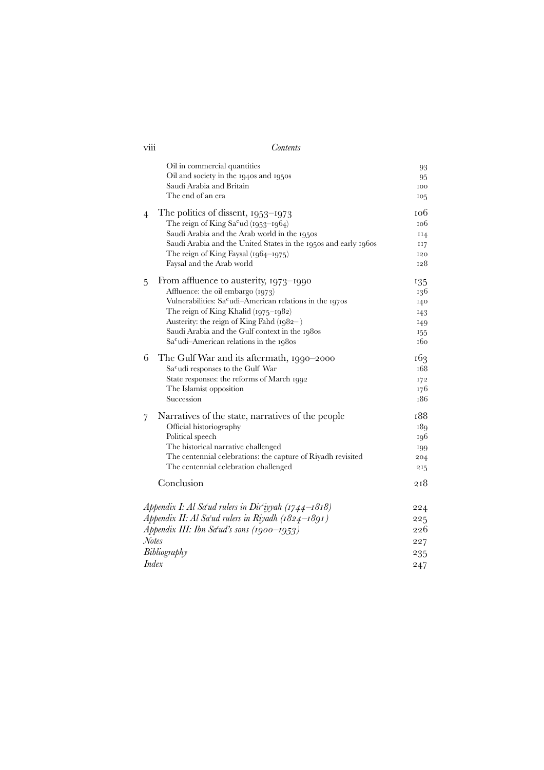| VIII         | <i>Contents</i>                                                                                                                                                                                                                                                                                                                            |                                               |
|--------------|--------------------------------------------------------------------------------------------------------------------------------------------------------------------------------------------------------------------------------------------------------------------------------------------------------------------------------------------|-----------------------------------------------|
|              | Oil in commercial quantities<br>Oil and society in the 1940s and 1950s<br>Saudi Arabia and Britain<br>The end of an era                                                                                                                                                                                                                    | 93<br>95<br>100<br>105                        |
| 4            | The politics of dissent, 1953-1973<br>The reign of King $Sa^cud$ (1953–1964)<br>Saudi Arabia and the Arab world in the 1950s<br>Saudi Arabia and the United States in the 1950s and early 1960s<br>The reign of King Faysal $(1964-1975)$<br>Faysal and the Arab world                                                                     | 106<br>106<br><b>114</b><br>117<br>120<br>128 |
| 5            | From affluence to austerity, 1973–1990<br>Affluence: the oil embargo (1973)<br>Vulnerabilities: Sa <sup>c</sup> udi-American relations in the 1970s<br>The reign of King Khalid $(1975-1982)$<br>Austerity: the reign of King Fahd $(1082-)$<br>Saudi Arabia and the Gulf context in the 1980s<br>$Sacudi–American relations in the 1980s$ | 135<br>136<br>140<br>143<br>149<br>155<br>160 |
| 6            | The Gulf War and its aftermath, 1990–2000<br>Sa <sup>c</sup> udi responses to the Gulf War<br>State responses: the reforms of March 1992<br>The Islamist opposition<br>Succession                                                                                                                                                          | 163<br>168<br>172<br>176<br>186               |
| 7            | Narratives of the state, narratives of the people<br>Official historiography<br>Political speech<br>The historical narrative challenged<br>The centennial celebrations: the capture of Riyadh revisited<br>The centennial celebration challenged                                                                                           | 188<br>189<br>196<br>199<br>204<br>215        |
|              | Conclusion                                                                                                                                                                                                                                                                                                                                 | 218                                           |
| <b>Notes</b> | Appendix I: Al Sa'ud rulers in Dir'iyyah (1744–1818)<br>Appendix II: Al Sa'ud rulers in Riyadh (1824–1891)<br>Appendix III: Ibn Sa'ud's sons (1900–1953)<br>Bibliography                                                                                                                                                                   | 224<br>225<br>226<br>227<br>235<br>247        |
|              | Index                                                                                                                                                                                                                                                                                                                                      |                                               |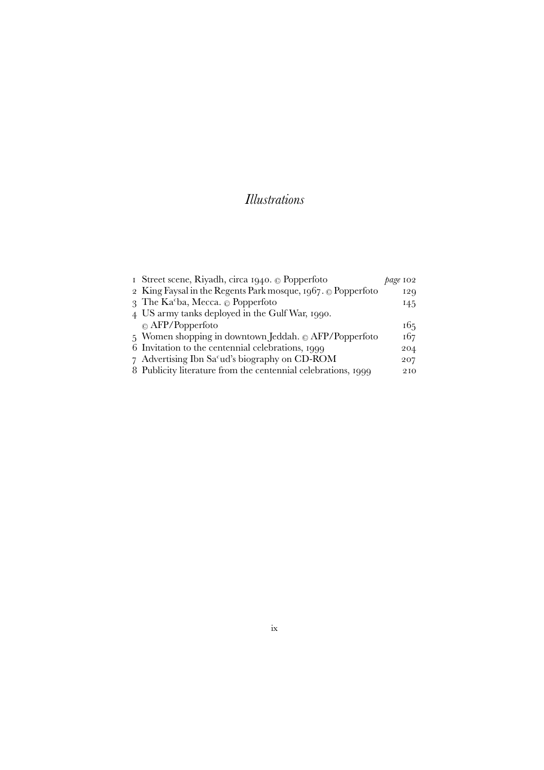# *Illustrations*

| I Street scene, Riyadh, circa 1940. $\odot$ Popperfoto        | page 102        |
|---------------------------------------------------------------|-----------------|
| 2 King Faysal in the Regents Park mosque, 1967. © Popperfoto  | 129             |
| 3 The Ka <sup>c</sup> ba, Mecca. © Popperfoto                 | <sup>14.5</sup> |
| 4 US army tanks deployed in the Gulf War, 1990.               |                 |
| $\circ$ AFP/Popperfoto                                        | 165             |
| 5 Women shopping in downtown Jeddah. $\odot$ AFP/Popperfoto   | 167             |
| 6 Invitation to the centennial celebrations, 1999             | 204             |
| 7 Advertising Ibn Sa <sup>c</sup> ud's biography on CD-ROM    | 207             |
| 8 Publicity literature from the centennial celebrations, 1999 | 210             |
|                                                               |                 |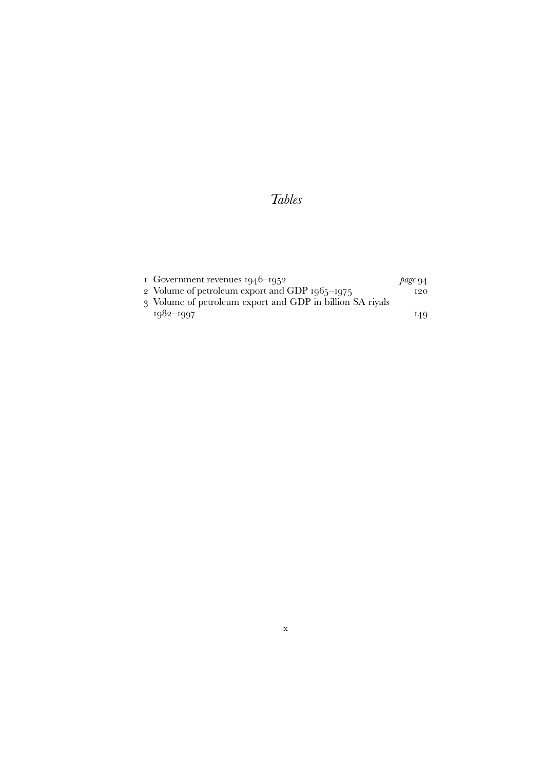# *Tables*

| I Government revenues $1946 - 1952$                       | page 94 |
|-----------------------------------------------------------|---------|
| 2 Volume of petroleum export and GDP $1965-1975$          | 120     |
| 3 Volume of petroleum export and GDP in billion SA rivals |         |
| $1982 - 1997$                                             | 149     |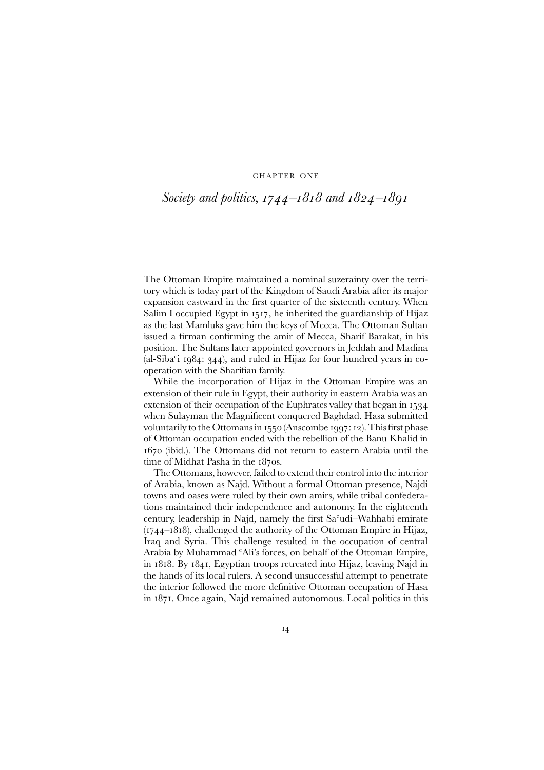#### CHAPTER ONE

### *Society and politics,*  $1744 - 1818$  *and*  $1824 - 1891$

The Ottoman Empire maintained a nominal suzerainty over the territory which is today part of the Kingdom of Saudi Arabia after its major expansion eastward in the first quarter of the sixteenth century. When Salim I occupied Egypt in  $1517$ , he inherited the guardianship of Hijaz as the last Mamluks gave him the keys of Mecca. The Ottoman Sultan issued a firman confirming the amir of Mecca, Sharif Barakat, in his position. The Sultans later appointed governors in Jeddah and Madina (al-Siba<sup>c</sup>i 1984: 344), and ruled in Hijaz for four hundred years in cooperation with the Sharifian family.

While the incorporation of Hijaz in the Ottoman Empire was an extension of their rule in Egypt, their authority in eastern Arabia was an extension of their occupation of the Euphrates valley that began in 1534 when Sulayman the Magnificent conquered Baghdad. Hasa submitted voluntarily to the Ottomans in  $1550$  (Anscombe  $1997$ :  $12$ ). This first phase of Ottoman occupation ended with the rebellion of the Banu Khalid in (ibid.). The Ottomans did not return to eastern Arabia until the time of Midhat Pasha in the  $187$ os.

The Ottomans, however, failed to extend their control into the interior of Arabia, known as Najd. Without a formal Ottoman presence, Najdi towns and oases were ruled by their own amirs, while tribal confederations maintained their independence and autonomy. In the eighteenth century, leadership in Najd, namely the first Sa<sup>c</sup>udi-Wahhabi emirate  $(1744 - 1818)$ , challenged the authority of the Ottoman Empire in Hijaz, Iraq and Syria. This challenge resulted in the occupation of central Arabia by Muhammad <sup>c</sup>Ali's forces, on behalf of the Ottoman Empire, in 1818. By 1841, Egyptian troops retreated into Hijaz, leaving Najd in the hands of its local rulers. A second unsuccessful attempt to penetrate the interior followed the more definitive Ottoman occupation of Hasa in 1871. Once again, Najd remained autonomous. Local politics in this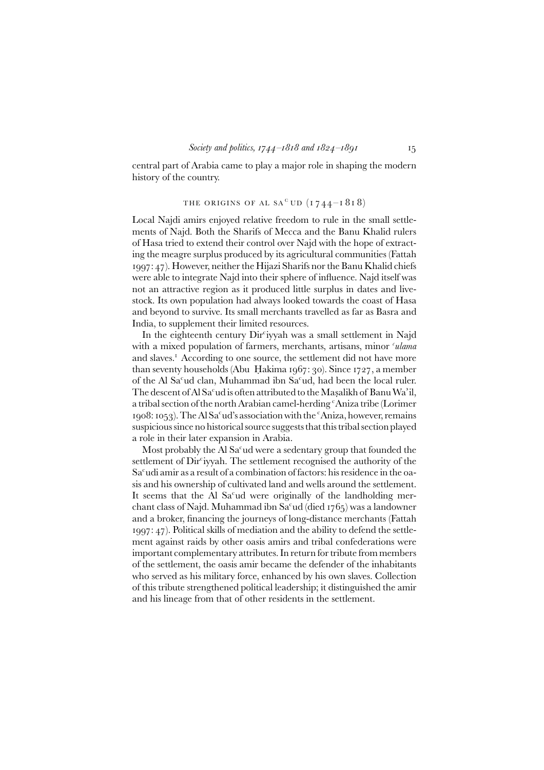central part of Arabia came to play a major role in shaping the modern history of the country.

### THE ORIGINS OF AL SA<sup>c</sup> UD  $(I744 - I818)$

Local Najdi amirs enjoyed relative freedom to rule in the small settlements of Najd. Both the Sharifs of Mecca and the Banu Khalid rulers of Hasa tried to extend their control over Najd with the hope of extracting the meagre surplus produced by its agricultural communities (Fattah : ). However, neither the Hijazi Sharifs nor the Banu Khalid chiefs were able to integrate Najd into their sphere of influence. Najd itself was not an attractive region as it produced little surplus in dates and livestock. Its own population had always looked towards the coast of Hasa and beyond to survive. Its small merchants travelled as far as Basra and India, to supplement their limited resources.

In the eighteenth century Dir<sup>c</sup>iyyah was a small settlement in Najd with a mixed population of farmers, merchants, artisans, minor *<sup>c</sup> ulama* and slaves.<sup> $I$ </sup> According to one source, the settlement did not have more than seventy households (Abu Hakima  $1967:30$ ). Since 1727, a member of the Al Sa<sup>c</sup>ud clan, Muhammad ibn Sa<sup>c</sup>ud, had been the local ruler. of the TV sa tid clari, Muhammad for Sa tid, had been the focal fulci.<br>The descent of Al Sa<sup>c</sup>ud is often attributed to the Mașalikh of Banu Wa<sup>3</sup>il, a tribal section of the north Arabian camel-herding <sup>c</sup>Aniza tribe (Lorimer 1908: 1053). The Al Sa<sup>c</sup>ud's association with the <sup>c</sup>Aniza, however, remains suspicious since no historical source suggests that this tribal section played a role in their later expansion in Arabia.

Most probably the Al Sa<sup>c</sup>ud were a sedentary group that founded the settlement of Dir<sup>c</sup>iyyah. The settlement recognised the authority of the Sa<sup>c</sup>udi amir as a result of a combination of factors: his residence in the oasis and his ownership of cultivated land and wells around the settlement. It seems that the Al Sa<sup>c</sup>ud were originally of the landholding merchant class of Najd. Muhammad ibn Sa<sup>c</sup>ud (died 1765) was a landowner and a broker, financing the journeys of long-distance merchants (Fattah  $1997: 47$ ). Political skills of mediation and the ability to defend the settlement against raids by other oasis amirs and tribal confederations were important complementary attributes. In return for tribute from members of the settlement, the oasis amir became the defender of the inhabitants who served as his military force, enhanced by his own slaves. Collection of this tribute strengthened political leadership; it distinguished the amir and his lineage from that of other residents in the settlement.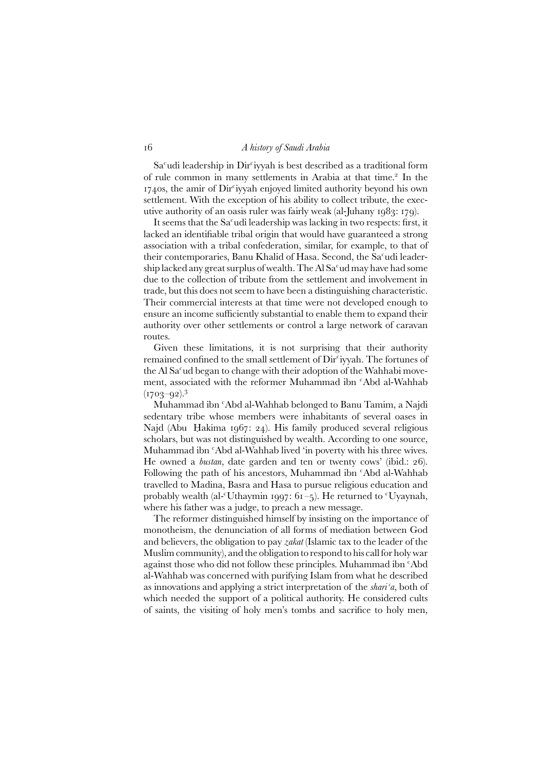Sa<sup>c</sup>udi leadership in Dir<sup>c</sup>iyyah is best described as a traditional form of rule common in many settlements in Arabia at that time.<sup>2</sup> In the 1740s, the amir of Dir<sup>c</sup>iyyah enjoyed limited authority beyond his own settlement. With the exception of his ability to collect tribute, the executive authority of an oasis ruler was fairly weak (al-Juhany  $1983$ :  $179$ ).

It seems that the Sa<sup>c</sup>udi leadership was lacking in two respects: first, it lacked an identifiable tribal origin that would have guaranteed a strong association with a tribal confederation, similar, for example, to that of their contemporaries, Banu Khalid of Hasa. Second, the Sa<sup>c</sup>udi leadership lacked any great surplus of wealth. The Al  $\rm Sa^c$ ud may have had some due to the collection of tribute from the settlement and involvement in trade, but this does not seem to have been a distinguishing characteristic. Their commercial interests at that time were not developed enough to ensure an income sufficiently substantial to enable them to expand their authority over other settlements or control a large network of caravan routes.

Given these limitations, it is not surprising that their authority remained confined to the small settlement of Dir<sup>c</sup>iyyah. The fortunes of the Al Sa<sup>c</sup>ud began to change with their adoption of the Wahhabi movement, associated with the reformer Muhammad ibn 'Abd al-Wahhab  $(1703-92).$ <sup>3</sup>

Muhammad ibn <sup>c</sup> Abd al-Wahhab belonged to Banu Tamim, a Najdi sedentary tribe whose members were inhabitants of several oases in Najd (Abu Hakima  $1967: 24$ ). His family produced several religious scholars, but was not distinguished by wealth. According to one source, Muhammad ibn 'Abd al-Wahhab lived 'in poverty with his three wives. He owned a *bustan*, date garden and ten or twenty cows' (ibid.: 26). Following the path of his ancestors, Muhammad ibn 'Abd al-Wahhab travelled to Madina, Basra and Hasa to pursue religious education and probably wealth (al-°Uthaymin 1997: 61–5). He returned to °Uyaynah, where his father was a judge, to preach a new message.

The reformer distinguished himself by insisting on the importance of monotheism, the denunciation of all forms of mediation between God and believers, the obligation to pay *zakat* (Islamic tax to the leader of the Muslim community), and the obligation to respond to his call for holy war against those who did not follow these principles. Muhammad ibn <sup>c</sup>Abd al-Wahhab was concerned with purifying Islam from what he described as innovations and applying a strict interpretation of the *shari*  $^{\epsilon}a$ , both of which needed the support of a political authority. He considered cults of saints, the visiting of holy men's tombs and sacrifice to holy men,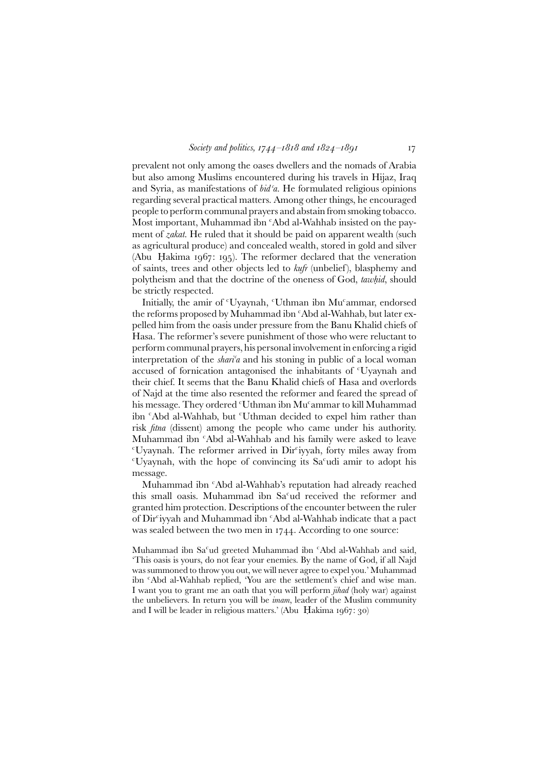prevalent not only among the oases dwellers and the nomads of Arabia but also among Muslims encountered during his travels in Hijaz, Iraq and Syria, as manifestations of *bid'a*. He formulated religious opinions regarding several practical matters. Among other things, he encouraged people to perform communal prayers and abstain from smoking tobacco. Most important, Muhammad ibn <sup>c</sup>Abd al-Wahhab insisted on the payment of *zakat*. He ruled that it should be paid on apparent wealth (such as agricultural produce) and concealed wealth, stored in gold and silver (Abu Hakima  $1967$ :  $195$ ). The reformer declared that the veneration of saints, trees and other objects led to *kufr* (unbelief ), blasphemy and polytheism and that the doctrine of the oneness of God, tawhid, should be strictly respected.

Initially, the amir of 'Uyaynah, 'Uthman ibn Mu'ammar, endorsed the reforms proposed by Muhammad ibn 'Abd al-Wahhab, but later expelled him from the oasis under pressure from the Banu Khalid chiefs of Hasa. The reformer's severe punishment of those who were reluctant to perform communal prayers, his personal involvement in enforcinga rigid interpretation of the *shari<sup>c</sup>a* and his stoning in public of a local woman accused of fornication antagonised the inhabitants of 'Uyaynah and their chief. It seems that the Banu Khalid chiefs of Hasa and overlords of Najd at the time also resented the reformer and feared the spread of his message. They ordered <sup>c</sup>Uthman ibn Mu<sup>c</sup>ammar to kill Muhammad ibn 'Abd al-Wahhab, but 'Uthman decided to expel him rather than risk *fitna* (dissent) among the people who came under his authority. Muhammad ibn 'Abd al-Wahhab and his family were asked to leave <sup>c</sup>Uyaynah. The reformer arrived in Dir<sup>c</sup>iyyah, forty miles away from <sup>c</sup>Uyaynah, with the hope of convincing its Sa<sup>c</sup>udi amir to adopt his message.

Muhammad ibn 'Abd al-Wahhab's reputation had already reached this small oasis. Muhammad ibn Sa<sup>c</sup>ud received the reformer and granted him protection. Descriptions of the encounter between the ruler of Dir<sup>c</sup>iyyah and Muhammad ibn <sup>c</sup>Abd al-Wahhab indicate that a pact was sealed between the two men in 1744. According to one source:

Muhammad ibn Sa<sup>c</sup>ud greeted Muhammad ibn <sup>c</sup>Abd al-Wahhab and said, 'This oasis is yours, do not fear your enemies. By the name of God, if all Najd was summoned to throw you out, we will never agree to expel you.' Muhammad ibn <sup>c</sup> Abd al-Wahhab replied, 'You are the settlement's chief and wise man. I want you to grant me an oath that you will perform *jihad* (holy war) against the unbelievers. In return you will be *imam*, leader of the Muslim community and I will be leader in religious matters.' (Abu Hakima  $1967:30$ )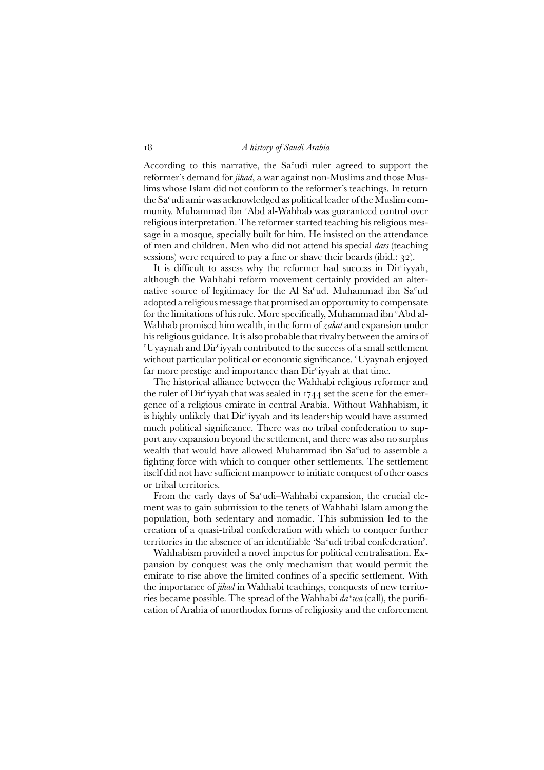According to this narrative, the Sa<sup>c</sup>udi ruler agreed to support the reformer's demand for *jihad*, a war against non-Muslims and those Muslims whose Islam did not conform to the reformer's teachings. In return the  $\rm Sa^c$ udi amir was acknowledged as political leader of the Muslim community. Muhammad ibn <sup>c</sup>Abd al-Wahhab was guaranteed control over religious interpretation. The reformer started teaching his religious message in a mosque, specially built for him. He insisted on the attendance of men and children. Men who did not attend his special *dars* (teaching sessions) were required to pay a fine or shave their beards (ibid.:  $32$ ).

It is difficult to assess why the reformer had success in Dir<sup>c</sup>iyyah, although the Wahhabi reform movement certainly provided an alternative source of legitimacy for the Al Sa<sup>c</sup>ud. Muhammad ibn Sa<sup>c</sup>ud adopted a religious message that promised an opportunity to compensate for the limitations of his rule. More specifically, Muhammad ibn <sup>c</sup>Abd al-Wahhab promised him wealth, in the form of *zakat* and expansion under his religious guidance. It is also probable that rivalry between the amirs of  $\rm ^cUy$ aynah and  $\rm Dir^c$ iyyah contributed to the success of a small settlement without particular political or economic significance. <sup>c</sup>Uyaynah enjoyed far more prestige and importance than Dir<sup>c</sup>iyyah at that time.

The historical alliance between the Wahhabi religious reformer and the ruler of Dir<sup>c</sup>iyyah that was sealed in 1744 set the scene for the emergence of a religious emirate in central Arabia. Without Wahhabism, it is highly unlikely that Dir<sup>c</sup>iyyah and its leadership would have assumed much political significance. There was no tribal confederation to support any expansion beyond the settlement, and there was also no surplus wealth that would have allowed Muhammad ibn Sa<sup>c</sup>ud to assemble a fighting force with which to conquer other settlements. The settlement itself did not have sufficient manpower to initiate conquest of other oases or tribal territories.

From the early days of Sa<sup>c</sup>udi-Wahhabi expansion, the crucial element was to gain submission to the tenets of Wahhabi Islam among the population, both sedentary and nomadic. This submission led to the creation of a quasi-tribal confederation with which to conquer further territories in the absence of an identifiable 'Sa<sup>c</sup>udi tribal confederation'.

Wahhabism provided a novel impetus for political centralisation. Expansion by conquest was the only mechanism that would permit the emirate to rise above the limited confines of a specific settlement. With the importance of *jihad* in Wahhabi teachings, conquests of new territories became possible. The spread of the Wahhabi *da <sup>c</sup> wa* (call), the purification of Arabia of unorthodox forms of religiosity and the enforcement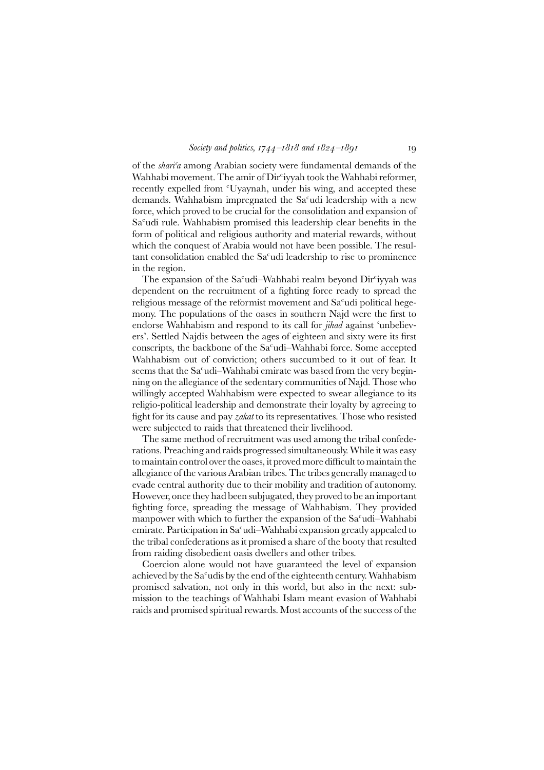of the *shari<sup>c</sup>a* among Arabian society were fundamental demands of the Wahhabi movement. The amir of Dir<sup>c</sup>iyyah took the Wahhabi reformer, recently expelled from 'Uyaynah, under his wing, and accepted these demands. Wahhabism impregnated the Sa<sup>c</sup>udi leadership with a new force, which proved to be crucial for the consolidation and expansion of Sa<sup>c</sup>udi rule. Wahhabism promised this leadership clear benefits in the form of political and religious authority and material rewards, without which the conquest of Arabia would not have been possible. The resul- $\tan$ t consolidation enabled the  $\mathrm{Sa}^{\mathrm{c}}$ udi leadership to rise to prominence in the region.

The expansion of the Sa<sup>c</sup>udi–Wahhabi realm beyond Dir<sup>c</sup>iyyah was dependent on the recruitment of a fighting force ready to spread the religious message of the reformist movement and Sa<sup>c</sup>udi political hegemony. The populations of the oases in southern Najd were the first to endorse Wahhabism and respond to its call for *jihad* against 'unbelievers'. Settled Najdis between the ages of eighteen and sixty were its first conscripts, the backbone of the Sa<sup>c</sup>udi-Wahhabi force. Some accepted Wahhabism out of conviction; others succumbed to it out of fear. It seems that the Sa<sup>c</sup>udi–Wahhabi emirate was based from the very beginningon the allegiance of the sedentary communities of Najd. Those who willingly accepted Wahhabism were expected to swear allegiance to its religio-political leadership and demonstrate their loyalty by agreeing to fight for its cause and pay *zakat* to its representatives. Those who resisted were subjected to raids that threatened their livelihood.

The same method of recruitment was used among the tribal confederations. Preaching and raids progressed simultaneously. While it was easy to maintain control over the oases, it proved more difficult to maintain the allegiance of the various Arabian tribes. The tribes generally managed to evade central authority due to their mobility and tradition of autonomy. However, once they had been subjugated, they proved to be an important fighting force, spreading the message of Wahhabism. They provided manpower with which to further the expansion of the Sa<sup>c</sup>udi–Wahhabi emirate. Participation in Sa<sup>c</sup>udi–Wahhabi expansion greatly appealed to the tribal confederations as it promised a share of the booty that resulted from raiding disobedient oasis dwellers and other tribes.

Coercion alone would not have guaranteed the level of expansion achieved by the Sa<sup>c</sup>udis by the end of the eighteenth century. Wahhabism promised salvation, not only in this world, but also in the next: submission to the teachings of Wahhabi Islam meant evasion of Wahhabi raids and promised spiritual rewards. Most accounts of the success of the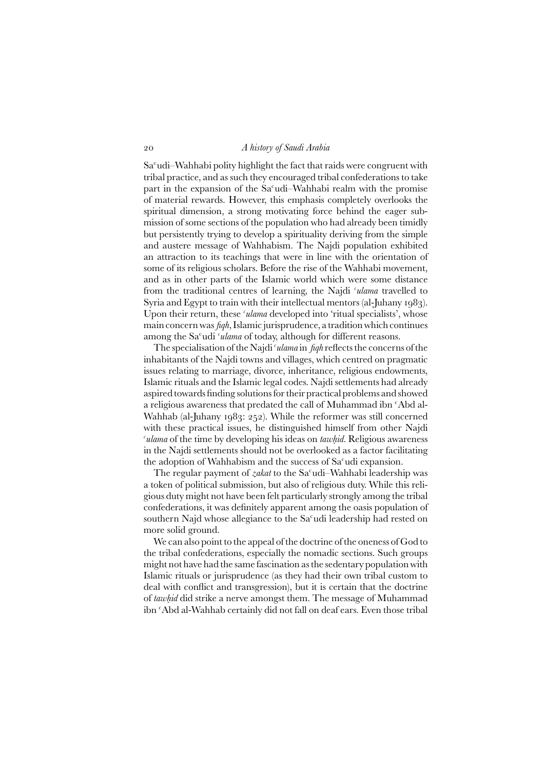$Sa<sup>c</sup>udi–Wahhabi polity highlight the fact that rails were congruent with$ tribal practice, and as such they encouraged tribal confederations to take part in the expansion of the Sa<sup>c</sup>udi–Wahhabi realm with the promise of material rewards. However, this emphasis completely overlooks the spiritual dimension, a strong motivating force behind the eager submission of some sections of the population who had already been timidly but persistently trying to develop a spirituality deriving from the simple and austere message of Wahhabism. The Najdi population exhibited an attraction to its teachings that were in line with the orientation of some of its religious scholars. Before the rise of the Wahhabi movement, and as in other parts of the Islamic world which were some distance from the traditional centres of learning, the Najdi 'ulama travelled to Syria and Egypt to train with their intellectual mentors (al-Juhany 1983). Upon their return, these *<sup>c</sup>ulama* developed into 'ritual specialists', whose main concern was *fiqh*, Islamic jurisprudence, atradition which continues among the Sa<sup>c</sup>udi *culama* of today, although for different reasons.

The specialisation of the Najdi *<sup>c</sup> ulama* in *fiqh* reflects the concerns of the inhabitants of the Najdi towns and villages, which centred on pragmatic issues relating to marriage, divorce, inheritance, religious endowments, Islamic rituals and the Islamic legal codes. Najdi settlements had already aspired towards findingsolutions for their practical problems and showed a religious awareness that predated the call of Muhammad ibn  $^{\mathrm{c}}$ Abd al-Wahhab (al-Juhany  $1983$ :  $252$ ). While the reformer was still concerned with these practical issues, he distinguished himself from other Najdi *culama* of the time by developing his ideas on *tawhid*. Religious awareness in the Najdi settlements should not be overlooked as a factor facilitating the adoption of Wahhabism and the success of Sa<sup>c</sup>udi expansion.

The regular payment of *zakat* to the Sa<sup>c</sup>udi-Wahhabi leadership was a token of political submission, but also of religious duty. While this religious duty might not have been felt particularly strongly among the tribal confederations, it was definitely apparent among the oasis population of southern Najd whose allegiance to the Sa<sup>c</sup>udi leadership had rested on more solid ground.

We can also point to the appeal of the doctrine of the oneness of God to the tribal confederations, especially the nomadic sections. Such groups might not have had the same fascination as the sedentary population with Islamic rituals or jurisprudence (as they had their own tribal custom to deal with conflict and transgression), but it is certain that the doctrine of *tawhid* did strike a nerve amongst them. The message of Muhammad ibn <sup>c</sup>Abd al-Wahhab certainly did not fall on deaf ears. Even those tribal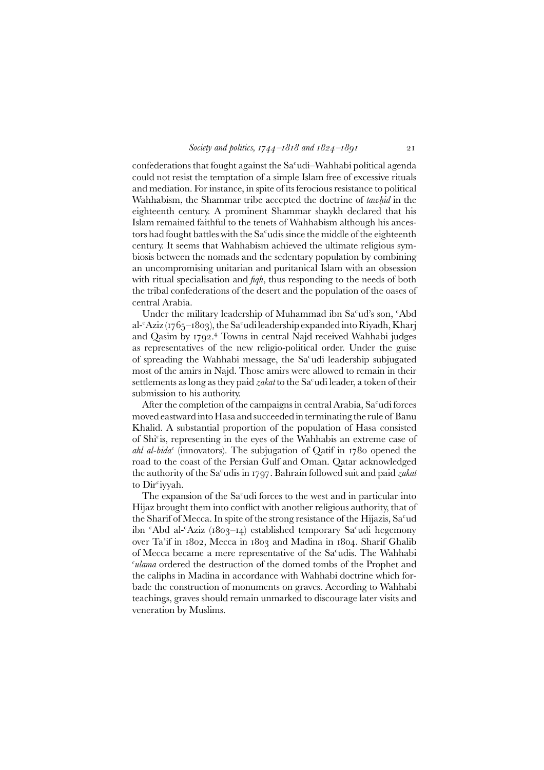confederations that fought against the Sa<sup>c</sup>udi-Wahhabi political agenda could not resist the temptation of a simple Islam free of excessive rituals and mediation. For instance, in spite of its ferocious resistance to political Wahhabism, the Shammar tribe accepted the doctrine of *tawhid* in the eighteenth century. A prominent Shammar shaykh declared that his Islam remained faithful to the tenets of Wahhabism although his ancestors had fought battles with the  $\mathrm{Sa}^c$ udis since the middle of the eighteenth century. It seems that Wahhabism achieved the ultimate religious symbiosis between the nomads and the sedentary population by combining an uncompromising unitarian and puritanical Islam with an obsession with ritual specialisation and *figh*, thus responding to the needs of both the tribal confederations of the desert and the population of the oases of central Arabia.

Under the military leadership of Muhammad ibn Sa<sup>c</sup>ud's son, <sup>c</sup>Abd al-°Aziz (1765–1803), the Sa°udi leadership expanded into Riyadh, Kharj and Qasim by 1792.<sup>4</sup> Towns in central Najd received Wahhabi judges as representatives of the new religio-political order. Under the guise of spreading the Wahhabi message, the Sa<sup>c</sup>udi leadership subjugated most of the amirs in Najd. Those amirs were allowed to remain in their settlements as long as they paid *zakat* to the Sa<sup>c</sup>udi leader, a token of their submission to his authority.

After the completion of the campaigns in central Arabia, Sa<sup>c</sup>udi forces moved eastward into Hasa and succeeded in terminating the rule of Banu Khalid. A substantial proportion of the population of Hasa consisted of Shi'is, representing in the eyes of the Wahhabis an extreme case of *ahl al-bida<sup>c</sup>* (innovators). The subjugation of Qatif in 1780 opened the road to the coast of the Persian Gulf and Oman. Qatar acknowledged the authority of the Sa<sup>c</sup>udis in 1797. Bahrain followed suit and paid zakat to Dir<sup>c</sup>iyyah.

The expansion of the Sa<sup>c</sup>udi forces to the west and in particular into Hijaz brought them into conflict with another religious authority, that of the Sharif of Mecca. In spite of the strong resistance of the Hijazis, Sa<sup>c</sup>ud ibn 'Abd al-'Aziz (1803–14) established temporary Sa'udi hegemony for Ta'if in  $1822$  (1603–14) established dimporary of during meganity over Ta'if in  $1802$ , Mecca in  $1803$  and Madina in  $1804$ . Sharif Ghalib of Mecca became a mere representative of the Sa<sup>c</sup>udis. The Wahhabi<br>*culams* ordered the destruction of the demod tembs of the Prephet and *ulama* ordered the destruction of the domed tombs of the Prophet and the caliphs in Madina in accordance with Wahhabi doctrine which forbade the construction of monuments on graves. According to Wahhabi teachings, graves should remain unmarked to discourage later visits and veneration by Muslims.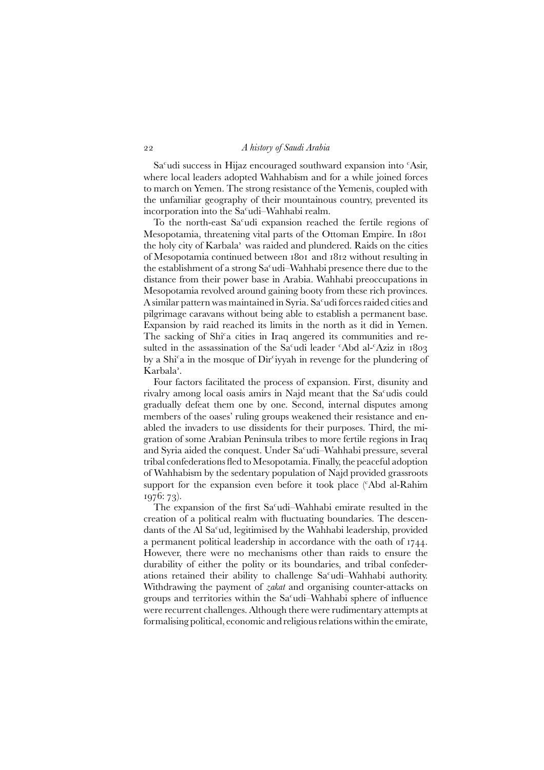Sa<sup>c</sup>udi success in Hijaz encouraged southward expansion into <sup>c</sup>Asir, where local leaders adopted Wahhabism and for a while joined forces to march on Yemen. The strong resistance of the Yemenis, coupled with the unfamiliar geography of their mountainous country, prevented its incorporation into the Sa<sup>c</sup>udi–Wahhabi realm.

To the north-east Sa<sup>c</sup>udi expansion reached the fertile regions of Mesopotamia, threatening vital parts of the Ottoman Empire. In 1801 the holy city of Karbala was raided and plundered. Raids on the cities of Mesopotamia continued between  $1801$  and  $1812$  without resulting in the establishment of a strong  $\mathrm{Sa}^c$ udi–Wahhabi presence there due to the distance from their power base in Arabia. Wahhabi preoccupations in Mesopotamia revolved around gaining booty from these rich provinces. A similar pattern was maintained in Syria. Sa $^{\rm c}$ udi forces raided cities and pilgrimage caravans without being able to establish a permanent base. Expansion by raid reached its limits in the north as it did in Yemen. The sacking of Shi<sup>c</sup>a cities in Iraq angered its communities and resulted in the assassination of the Sa<sup>c</sup>udi leader <sup>c</sup>Abd al-<sup>c</sup>Aziz in 1803 by a Shi<sup>c</sup>a in the mosque of Dir<sup>c</sup>iyyah in revenge for the plundering of Karbala .

Four factors facilitated the process of expansion. First, disunity and rivalry among local oasis amirs in Najd meant that the Sa<sup>c</sup>udis could gradually defeat them one by one. Second, internal disputes among members of the oases' ruling groups weakened their resistance and enabled the invaders to use dissidents for their purposes. Third, the migration of some Arabian Peninsula tribes to more fertile regions in Iraq and Syria aided the conquest. Under Sa<sup>c</sup>udi–Wahhabi pressure, several tribal confederations fled to Mesopotamia. Finally, the peaceful adoption of Wahhabism by the sedentary population of Najd provided grassroots support for the expansion even before it took place ('Abd al-Rahim 1976: 73).

The expansion of the first Sa<sup>c</sup>udi-Wahhabi emirate resulted in the creation of a political realm with fluctuating boundaries. The descendants of the Al Sa<sup>c</sup>ud, legitimised by the Wahhabi leadership, provided a permanent political leadership in accordance with the oath of 1744. However, there were no mechanisms other than raids to ensure the durability of either the polity or its boundaries, and tribal confederations retained their ability to challenge Sa<sup>c</sup>udi-Wahhabi authority. Withdrawing the payment of *zakat* and organising counter-attacks on groups and territories within the Sa<sup>c</sup>udi-Wahhabi sphere of influence were recurrent challenges. Although there were rudimentary attempts at formalising political, economic and religious relations within the emirate,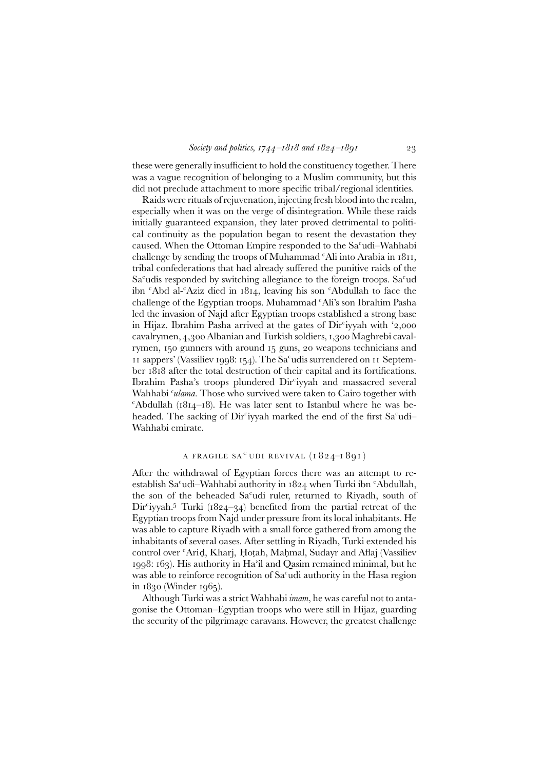these were generally insufficient to hold the constituency together. There was a vague recognition of belonging to a Muslim community, but this did not preclude attachment to more specific tribal/regional identities.

Raids were rituals of rejuvenation, injecting fresh blood into the realm, especially when it was on the verge of disintegration. While these raids initially guaranteed expansion, they later proved detrimental to political continuity as the population began to resent the devastation they caused. When the Ottoman Empire responded to the Sa<sup>c</sup>udi–Wahhabi challenge by sending the troops of Muhammad <sup>c</sup>Ali into Arabia in 1811, tribal confederations that had already suffered the punitive raids of the Sa<sup>c</sup>udis responded by switching allegiance to the foreign troops. Sa<sup>c</sup>ud ibn 'Abd al-'Aziz died in 1814, leaving his son 'Abdullah to face the challenge of the Egyptian troops. Muhammad 'Ali's son Ibrahim Pasha led the invasion of Najd after Egyptian troops established a strong base in Hijaz. Ibrahim Pasha arrived at the gates of Dir<sup>c</sup>iyyah with '2,000  $cavalrymen, 4,300 Albanian and Turkish soldiers, 1,300 Maghrebi caval$ rymen, 150 gunners with around 15 guns, 20 weapons technicians and 11 sappers' (Vassiliev 1998: 154). The Sa<sup>c</sup>udis surrendered on 11 September 1818 after the total destruction of their capital and its fortifications. Ibrahim Pasha's troops plundered Dir<sup>c</sup>iyyah and massacred several Wahhabi 'ulama. Those who survived were taken to Cairo together with  $c$ Abdullah (1814–18). He was later sent to Istanbul where he was beheaded. The sacking of Dir<sup>c</sup>iyyah marked the end of the first Sa<sup>c</sup>udi-Wahhabi emirate.

### A FRAGILE SA<sup>c</sup> UDI REVIVAL ( $1824$ – $18q1$ )

After the withdrawal of Egyptian forces there was an attempt to reestablish Sa $^{\rm c}$ udi–Wahhabi authority in 1824 when Turki ibn  $^{\rm c}$ Abdullah, the son of the beheaded Sa<sup>c</sup>udi ruler, returned to Riyadh, south of Dir<sup>c</sup>iyyah.<sup>5</sup> Turki (1824-34) benefited from the partial retreat of the Egyptian troops from Najd under pressure from its local inhabitants. He was able to capture Riyadh with a small force gathered from among the inhabitants of several oases. After settling in Riyadh, Turki extended his control over <sup>c</sup>Arid, Kharj, Hotah, Maḥmal, Sudayr and Aflaj (Vassiliev control over Tirtu, Kilarj, Lioual, Mahmal, Sudayi and Ting (Vassinev<br>1998: 163). His authority in Ha'il and Qasim remained minimal, but he was able to reinforce recognition of Sa<sup>c</sup>udi authority in the Hasa region in  $1830$  (Winder  $1965$ ).

Although Turki was a strict Wahhabi *imam*, he was careful not to antagonise the Ottoman–Egyptian troops who were still in Hijaz, guarding the security of the pilgrimage caravans. However, the greatest challenge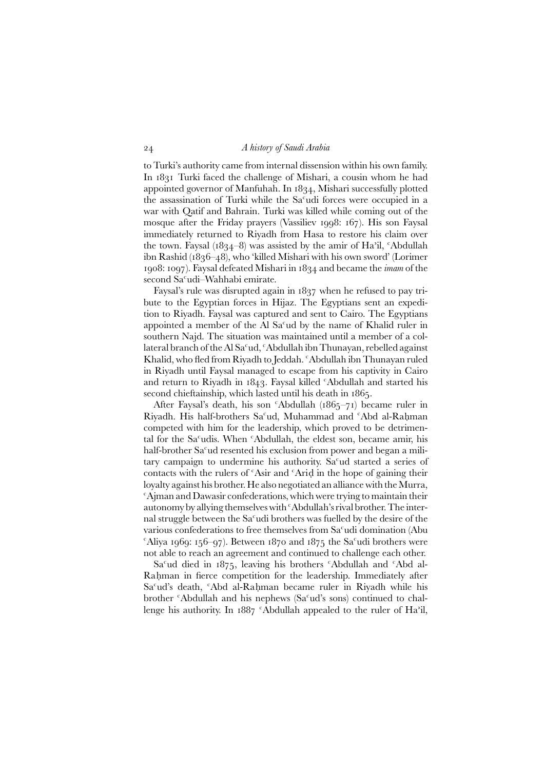to Turki's authority came from internal dissension within his own family. In 1831 Turki faced the challenge of Mishari, a cousin whom he had appointed governor of Manfuhah. In 1834, Mishari successfully plotted the assassination of Turki while the Sa<sup>c</sup>udi forces were occupied in a war with Qatif and Bahrain. Turki was killed while coming out of the mosque after the Friday prayers (Vassiliev  $1998: 167$ ). His son Faysal immediately returned to Riyadh from Hasa to restore his claim over the town. Faysal  $(1834-8)$  was assisted by the amir of Ha'il, "Abdullah ibn Rashid ( $1836-48$ ), who 'killed Mishari with his own sword' (Lorimer 1908: 1097). Faysal defeated Mishari in 1834 and became the *imam* of the second Sa<sup>c</sup>udi–Wahhabi emirate.

Faysal's rule was disrupted again in  $1837$  when he refused to pay tribute to the Egyptian forces in Hijaz. The Egyptians sent an expedition to Riyadh. Faysal was captured and sent to Cairo. The Egyptians appointed a member of the Al Sa<sup>c</sup>ud by the name of Khalid ruler in southern Najd. The situation was maintained until a member of a collateral branch of the Al Sa<sup>c</sup>ud, <sup>c</sup>Abdullah ibn Thunayan, rebelled against Khalid, who fled from Riyadh to Jeddah. 'Abdullah ibn Thunayan ruled in Riyadh until Faysal managed to escape from his captivity in Cairo and return to Riyadh in 1843. Faysal killed 'Abdullah and started his second chieftainship, which lasted until his death in 1865.

After Faysal's death, his son 'Abdullah (1865–71) became ruler in Riyadh. His half-brothers Sa<sup>c</sup>ud, Muhammad and <sup>c</sup>Abd al-Rahman competed with him for the leadership, which proved to be detrimental for the Sa<sup>c</sup>udis. When <sup>c</sup>Abdullah, the eldest son, became amir, his half-brother Sa<sup>c</sup>ud resented his exclusion from power and began a military campaign to undermine his authority. Sa<sup>c</sup>ud started a series of contacts with the rulers of 'Asir and 'Arid in the hope of gaining their loyalty against his brother. He also negotiated an alliance with the Murra, <sup>c</sup>Ajman and Dawasir confederations, which were trying to maintain their autonomy by allying themselves with "Abdullah's rival brother. The internal struggle between the Sa<sup>c</sup>udi brothers was fuelled by the desire of the various confederations to free themselves from Sa<sup>c</sup>udi domination (Abu  $\lq$ °Aliya 1969: 156–97). Between 1870 and 1875 the Sa $\lq$ °udi brothers were not able to reach an agreement and continued to challenge each other.

Sa<sup>c</sup>ud died in 1875, leaving his brothers <sup>c</sup>Abdullah and <sup>c</sup>Abd al-Rahman in fierce competition for the leadership. Immediately after Sa<sup>c</sup>ud's death, 'Abd al-Rahman became ruler in Riyadh while his brother 'Abdullah and his nephews (Sa<sup>c</sup>ud's sons) continued to challenge his authority. In  $1887 \text{ }^{\circ}$  Abdullah appealed to the ruler of Ha'il,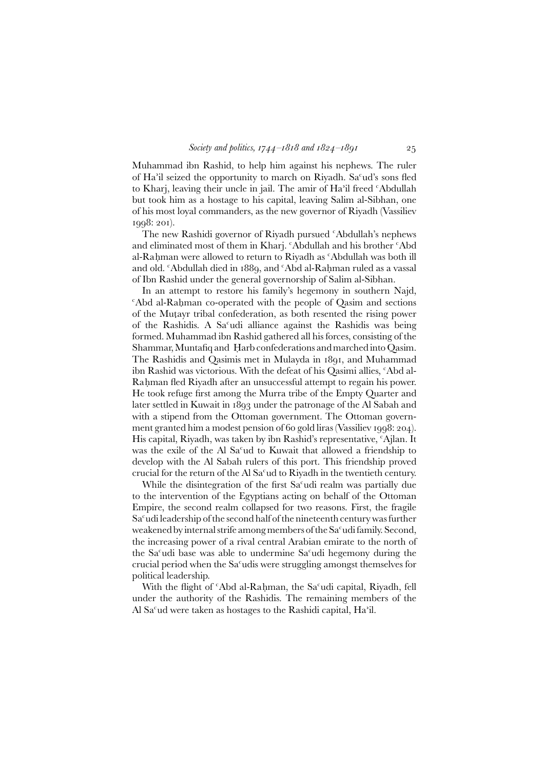Muhammad ibn Rashid, to help him against his nephews. The ruler of Ha'il seized the opportunity to march on Riyadh. Sa<sup>c</sup>ud's sons fled to Kharj, leaving their uncle in jail. The amir of Ha'il freed "Abdullah" but took him as a hostage to his capital, leaving Salim al-Sibhan, one of his most loyal commanders, as the new governor of Riyadh (Vassiliev 1998: 201).

The new Rashidi governor of Riyadh pursued 'Abdullah's nephews and eliminated most of them in Kharj. <sup>c</sup>Abdullah and his brother <sup>c</sup>Abd al-Raḥman were allowed to return to Riyadh as ʿAbdullah was both ill and old. 'Abdullah died in 1889, and 'Abd al-Raḥman ruled as a vassal of Ibn Rashid under the general governorship of Salim al-Sibhan.

In an attempt to restore his family's hegemony in southern Najd, <sup>c</sup>Abd al-Rahman co-operated with the people of Qasim and sections of the Mutayr tribal confederation, as both resented the rising power of the Rashidis. A Sa<sup>c</sup>udi alliance against the Rashidis was being formed. Muhammad ibn Rashid gathered all his forces, consisting of the Shammar, Muntafiq and Harb confederations and marched into Qasim. The Rashidis and Qasimis met in Mulayda in 1891, and Muhammad ibn Rashid was victorious. With the defeat of his Qasimi allies, <sup>c</sup>Abd al-Rahman fled Riyadh after an unsuccessful attempt to regain his power. He took refuge first among the Murra tribe of the Empty Quarter and later settled in Kuwait in 1893 under the patronage of the Al Sabah and with a stipend from the Ottoman government. The Ottoman government granted him a modest pension of  $60$  gold liras (Vassiliev 1998: 204). His capital, Riyadh, was taken by ibn Rashid's representative, "Ajlan. It was the exile of the Al Sa<sup>c</sup>ud to Kuwait that allowed a friendship to develop with the Al Sabah rulers of this port. This friendship proved crucial for the return of the Al Sa<sup>c</sup>ud to Riyadh in the twentieth century.

While the disintegration of the first Sa<sup>c</sup>udi realm was partially due to the intervention of the Egyptians acting on behalf of the Ottoman Empire, the second realm collapsed for two reasons. First, the fragile Sa<sup>c</sup>udi leadership of the second half of the nineteenth century was further weakened by internal strife among members of the  $\rm Sa^c$ udi family. Second, the increasing power of a rival central Arabian emirate to the north of the Sa<sup>c</sup>udi base was able to undermine Sa<sup>c</sup>udi hegemony during the crucial period when the Sa<sup>c</sup>udis were struggling amongst themselves for political leadership.

With the flight of 'Abd al-Rahman, the Sa'udi capital, Riyadh, fell under the authority of the Rashidis. The remaining members of the ander the addronly of the Rashidis. The remaining members Al Sa<sup>c</sup>ud were taken as hostages to the Rashidi capital, Ha'il.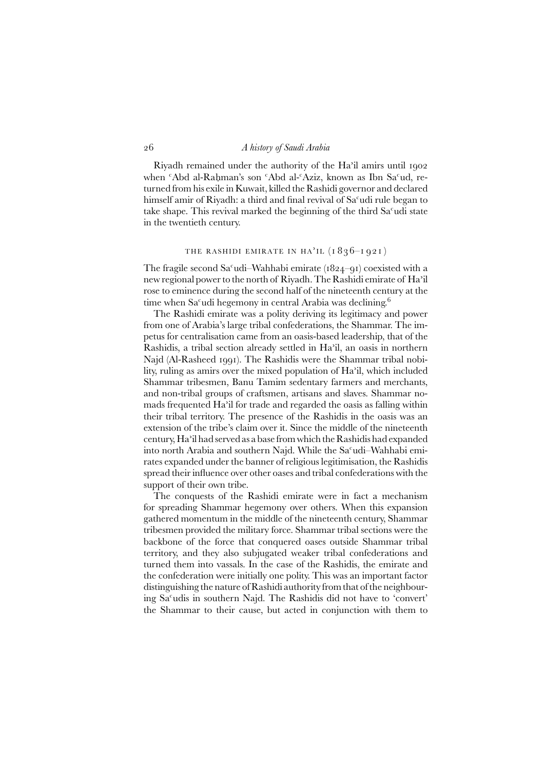Riyadh remained under the authority of the Ha'il amirs until 1902 when 'Abd al-Raḥman's son 'Abd al-'Aziz, known as Ibn Sa<sup>c</sup>ud, returned from his exile in Kuwait, killed the Rashidi governor and declared himself amir of Riyadh: a third and final revival of  $\rm Sa^c$ udi rule began to take shape. This revival marked the beginning of the third Sa<sup>c</sup>udi state in the twentieth century.

## THE RASHIDI EMIRATE IN HA'IL  $(1836-1921)$

The fragile second Sa<sup>c</sup>udi–Wahhabi emirate (1824–91) coexisted with a new regional power to the north of Riyadh. The Rashidi emirate of Ha'il rose to eminence during the second half of the nineteenth century at the time when  $\rm Sa^c$ udi hegemony in central Arabia was declining. $^6$ 

The Rashidi emirate was a polity deriving its legitimacy and power from one of Arabia's large tribal confederations, the Shammar. The impetus for centralisation came from an oasis-based leadership, that of the Rashidis, a tribal section already settled in Ha'il, an oasis in northern Najd (Al-Rasheed 1991). The Rashidis were the Shammar tribal nobility, rulingas amirs over the mixed population of Ha il, which included Shammar tribesmen, Banu Tamim sedentary farmers and merchants, and non-tribal groups of craftsmen, artisans and slaves. Shammar noand non-tribal groups of cransmen, artistans and staves. Shahman no<br>mads frequented Ha'il for trade and regarded the oasis as falling within their tribal territory. The presence of the Rashidis in the oasis was an extension of the tribe's claim over it. Since the middle of the nineteenth century, Ha il had served as a base from whichthe Rashidis had expanded into north Arabia and southern Najd. While the Sa<sup>c</sup>udi–Wahhabi emirates expanded under the banner of religious legitimisation, the Rashidis spread their influence over other oases and tribal confederations with the support of their own tribe.

The conquests of the Rashidi emirate were in fact a mechanism for spreading Shammar hegemony over others. When this expansion gathered momentum in the middle of the nineteenth century, Shammar tribesmen provided the military force. Shammar tribal sections were the backbone of the force that conquered oases outside Shammar tribal territory, and they also subjugated weaker tribal confederations and turned them into vassals. In the case of the Rashidis, the emirate and the confederation were initially one polity. This was an important factor distinguishing the nature of Rashidi authority from that of the neighbouring Sa<sup>c</sup>udis in southern Najd. The Rashidis did not have to 'convert' the Shammar to their cause, but acted in conjunction with them to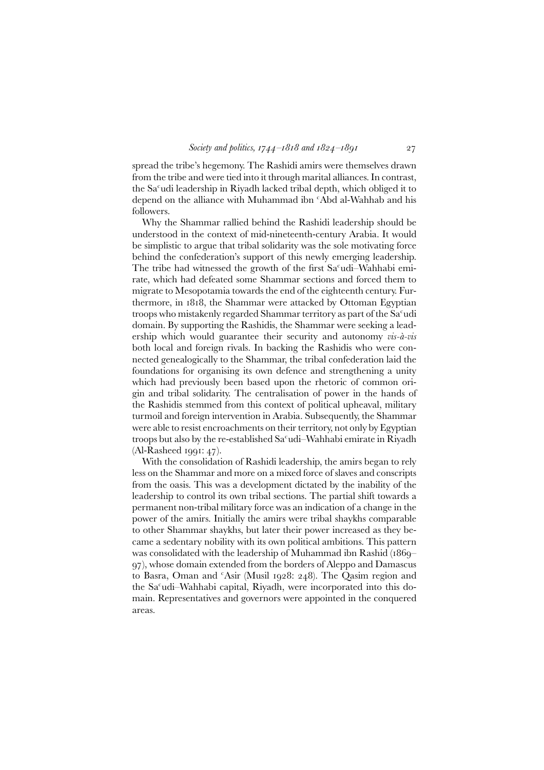spread the tribe's hegemony. The Rashidi amirs were themselves drawn from the tribe and were tied into it through marital alliances. In contrast, the Sac udi leadership in Riyadh lacked tribal depth, which obliged it to depend on the alliance with Muhammad ibn <sup>c</sup>Abd al-Wahhab and his followers.

Why the Shammar rallied behind the Rashidi leadership should be understood in the context of mid-nineteenth-century Arabia. It would be simplistic to argue that tribal solidarity was the sole motivating force behind the confederation's support of this newly emerging leadership. The tribe had witnessed the growth of the first Sa<sup>c</sup>udi-Wahhabi emirate, which had defeated some Shammar sections and forced them to migrate to Mesopotamia towards the end of the eighteenth century. Furthermore, in 1818, the Shammar were attacked by Ottoman Egyptian troops who mistakenly regarded Shammar territory as part of the Sa<sup>c</sup>udi domain. By supporting the Rashidis, the Shammar were seeking a leadership which would guarantee their security and autonomy *vis-à-vis* both local and foreign rivals. In backing the Rashidis who were connected genealogically to the Shammar, the tribal confederation laid the foundations for organising its own defence and strengthening a unity which had previously been based upon the rhetoric of common origin and tribal solidarity. The centralisation of power in the hands of the Rashidis stemmed from this context of political upheaval, military turmoil and foreign intervention in Arabia. Subsequently, the Shammar were able to resist encroachments on their territory, not only by Egyptian troops but also by the re-established Sa<sup>c</sup>udi–Wahhabi emirate in Riyadh  $(Al-Rashed qq1; 47).$ 

With the consolidation of Rashidi leadership, the amirs began to rely less on the Shammar and more on a mixed force of slaves and conscripts from the oasis. This was a development dictated by the inability of the leadership to control its own tribal sections. The partial shift towards a permanent non-tribal military force was an indication of a change in the power of the amirs. Initially the amirs were tribal shaykhs comparable to other Shammar shaykhs, but later their power increased as they became a sedentary nobility with its own political ambitions. This pattern was consolidated with the leadership of Muhammad ibn Rashid  $(1869-$ ), whose domain extended from the borders of Aleppo and Damascus to Basra, Oman and 'Asir (Musil 1928: 248). The Qasim region and the Sa<sup>c</sup>udi-Wahhabi capital, Riyadh, were incorporated into this domain. Representatives and governors were appointed in the conquered areas.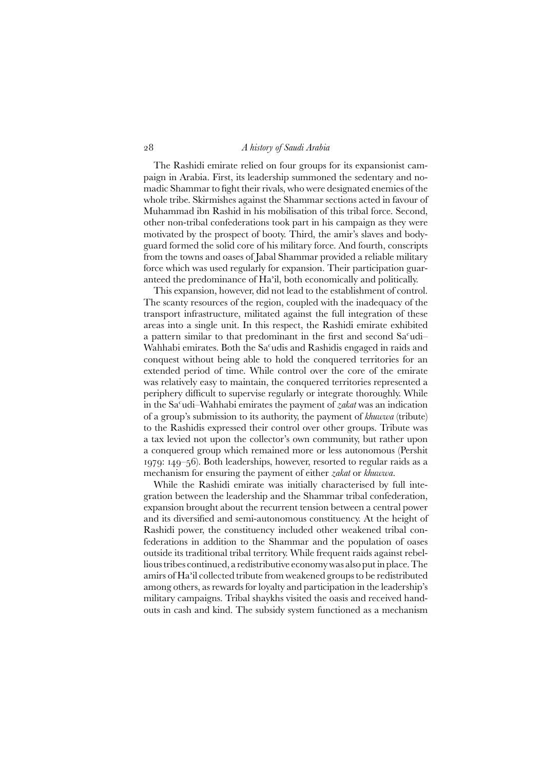The Rashidi emirate relied on four groups for its expansionist campaign in Arabia. First, its leadership summoned the sedentary and nomadic Shammar to fight their rivals, who were designated enemies of the whole tribe. Skirmishes against the Shammar sections acted in favour of Muhammad ibn Rashid in his mobilisation of this tribal force. Second, other non-tribal confederations took part in his campaign as they were motivated by the prospect of booty. Third, the amir's slaves and bodyguard formed the solid core of his military force. And fourth, conscripts from the towns and oases of Jabal Shammar provided a reliable military force which was used regularly for expansion. Their participation guaranteed the predominance of Ha'il, both economically and politically.

This expansion, however, did not lead to the establishment of control. The scanty resources of the region, coupled with the inadequacy of the transport infrastructure, militated against the full integration of these areas into a single unit. In this respect, the Rashidi emirate exhibited a pattern similar to that predominant in the first and second  $Sa^c$ udi-Wahhabi emirates. Both the Sa $^{\circ}$ udis and Rashidis engaged in raids and conquest without being able to hold the conquered territories for an extended period of time. While control over the core of the emirate was relatively easy to maintain, the conquered territories represented a periphery difficult to supervise regularly or integrate thoroughly. While in the Sac udi–Wahhabi emirates the payment of *zakat* was an indication of a group's submission to its authority, the payment of *khuwwa* (tribute) to the Rashidis expressed their control over other groups. Tribute was a tax levied not upon the collector's own community, but rather upon a conquered group which remained more or less autonomous (Pershit  $1979: 149-56$ . Both leaderships, however, resorted to regular raids as a mechanism for ensuring the payment of either *zakat* or *khuwwa*.

While the Rashidi emirate was initially characterised by full integration between the leadership and the Shammar tribal confederation, expansion brought about the recurrent tension between a central power and its diversified and semi-autonomous constituency. At the height of Rashidi power, the constituency included other weakened tribal confederations in addition to the Shammar and the population of oases outside its traditional tribal territory. While frequent raids against rebellioustribes continued, a redistributive economy was also put in place. The amirs of Ha'il collected tribute from weakened groups to be redistributed among others, as rewards for loyalty and participation in the leadership's military campaigns. Tribal shaykhs visited the oasis and received handouts in cash and kind. The subsidy system functioned as a mechanism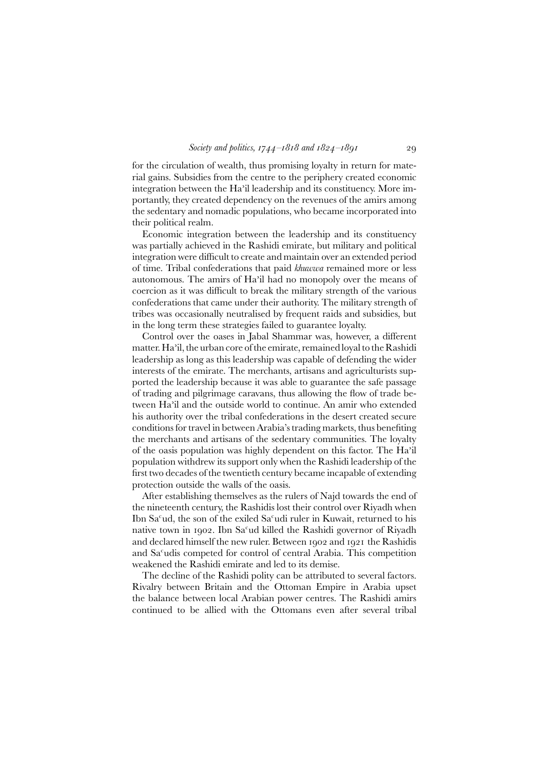for the circulation of wealth, thus promising loyalty in return for material gains. Subsidies from the centre to the periphery created economic In gains, substance from the centre to the perpinely ereated economic integration between the Ha'il leadership and its constituency. More importantly, they created dependency on the revenues of the amirs among the sedentary and nomadic populations, who became incorporated into their political realm.

Economic integration between the leadership and its constituency was partially achieved in the Rashidi emirate, but military and political integration were difficult to create and maintain over an extended period of time. Tribal confederations that paid *khuwwa* remained more or less autonomous. The amirs of Ha il had no monopoly over the means of coercion as it was difficult to break the military strength of the various confederations that came under their authority. The military strength of tribes was occasionally neutralised by frequent raids and subsidies, but in the long term these strategies failed to guarantee loyalty.

Control over the oases in Jabal Shammar was, however, a different matter. Ha il, the urban core of the emirate, remained loyal to the Rashidi leadership as long as this leadership was capable of defending the wider interests of the emirate. The merchants, artisans and agriculturists supported the leadership because it was able to guarantee the safe passage of trading and pilgrimage caravans, thus allowing the flow of trade beor trading and pagrimage caravans, thas anowing the now or trade be<br>tween Ha'il and the outside world to continue. An amir who extended his authority over the tribal confederations in the desert created secure conditions for travel in between Arabia's trading markets, thus benefiting the merchants and artisans of the sedentary communities. The loyalty of the oasis population was highly dependent on this factor. The Ha'il population withdrew its support only when the Rashidi leadership of the first two decades of the twentieth century became incapable of extending protection outside the walls of the oasis.

After establishing themselves as the rulers of Najd towards the end of the nineteenth century, the Rashidis lost their control over Riyadh when Ibn Sa<sup>c</sup>ud, the son of the exiled Sa<sup>c</sup>udi ruler in Kuwait, returned to his native town in 1902. Ibn Sa<sup>c</sup>ud killed the Rashidi governor of Riyadh and declared himself the new ruler. Between 1902 and 1921 the Rashidis and Sa<sup>c</sup>udis competed for control of central Arabia. This competition weakened the Rashidi emirate and led to its demise.

The decline of the Rashidi polity can be attributed to several factors. Rivalry between Britain and the Ottoman Empire in Arabia upset the balance between local Arabian power centres. The Rashidi amirs continued to be allied with the Ottomans even after several tribal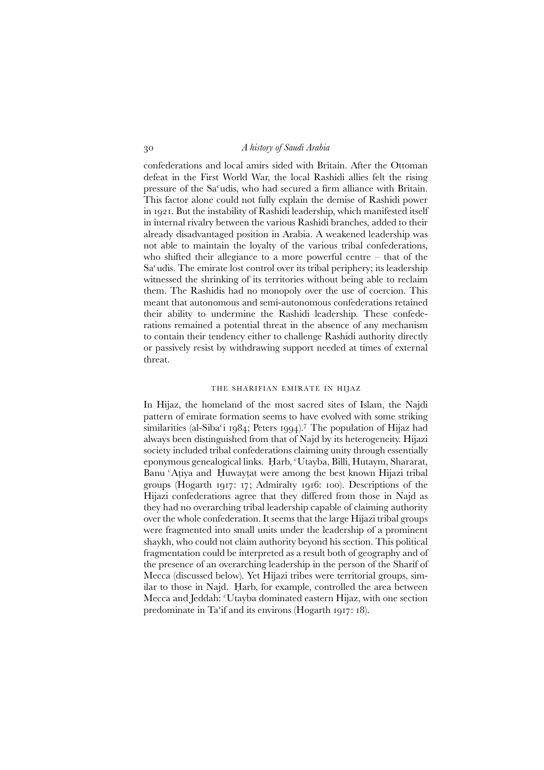confederations and local amirs sided with Britain. After the Ottoman defeat in the First World War, the local Rashidi allies felt the rising pressure of the Sa<sup>c</sup>udis, who had secured a firm alliance with Britain. This factor alone could not fully explain the demise of Rashidi power in 1921. But the instability of Rashidi leadership, which manifested itself in internal rivalry between the various Rashidi branches, added to their already disadvantaged position in Arabia. A weakened leadership was not able to maintain the loyalty of the various tribal confederations, who shifted their allegiance to a more powerful centre  $-$  that of the Sa<sup>c</sup>udis. The emirate lost control over its tribal periphery; its leadership witnessed the shrinking of its territories without being able to reclaim them. The Rashidis had no monopoly over the use of coercion. This meant that autonomous and semi-autonomous confederations retained their ability to undermine the Rashidi leadership. These confederations remained a potential threat in the absence of any mechanism to contain their tendency either to challenge Rashidi authority directly or passively resist by withdrawing support needed at times of external threat.

#### THE SHARIFIAN EMIRATE IN HIJAZ

In Hijaz, the homeland of the most sacred sites of Islam, the Najdi pattern of emirate formation seems to have evolved with some striking similarities (al-Siba<sup>c</sup>i 1984; Peters 1994).<sup>7</sup> The population of Hijaz had always been distinguished from that of Najd by its heterogeneity. Hijazi society included tribal confederations claiming unity through essentially eponymous genealogical links. Harb, <sup>c</sup>Utayba, Billi, Hutaym, Shararat, Banu 'Atiya and Huwaytat were among the best known Hijazi tribal groups (Hogarth  $1917$ :  $17$ ; Admiralty  $1916$ :  $100$ ). Descriptions of the Hijazi confederations agree that they differed from those in Najd as they had no overarching tribal leadership capable of claiming authority over the whole confederation. It seems that the large Hijazi tribal groups were fragmented into small units under the leadership of a prominent shaykh, who could not claim authority beyond his section. This political fragmentation could be interpreted as a result both of geography and of the presence of an overarching leadership in the person of the Sharif of Mecca (discussed below). Yet Hijazi tribes were territorial groups, similar to those in Najd. Harb, for example, controlled the area between Mecca and Jeddah: <sup>c</sup>Utayba dominated eastern Hijaz, with one section meed and jeddan. Unyba dominated eastern Figaz, where a maje and its environs (Hogarth 1917: 18).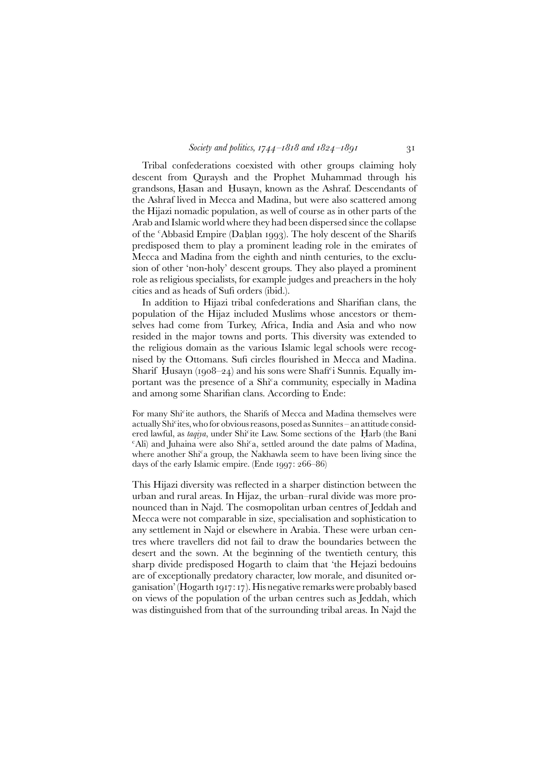Tribal confederations coexisted with other groups claiming holy descent from Quraysh and the Prophet Muhammad through his grandsons, Hasan and Husayn, known as the Ashraf. Descendants of the Ashraf lived in Mecca and Madina, but were also scattered among the Hijazi nomadic population, as well of course as in other parts of the Arab and Islamic world where they had been dispersed since the collapse of the 'Abbasid Empire (Dahlan 1993). The holy descent of the Sharifs predisposed them to play a prominent leading role in the emirates of Mecca and Madina from the eighth and ninth centuries, to the exclusion of other 'non-holy' descent groups. They also played a prominent role as religious specialists, for example judges and preachers in the holy cities and as heads of Sufi orders (ibid.).

In addition to Hijazi tribal confederations and Sharifian clans, the population of the Hijaz included Muslims whose ancestors or themselves had come from Turkey, Africa, India and Asia and who now resided in the major towns and ports. This diversity was extended to the religious domain as the various Islamic legal schools were recognised by the Ottomans. Sufi circles flourished in Mecca and Madina. Sharif Husayn (1908–24) and his sons were Shafi'i Sunnis. Equally important was the presence of a Shi<sup>c</sup>a community, especially in Madina and among some Sharifian clans. According to Ende:

For many Shi<sup>c</sup>ite authors, the Sharifs of Mecca and Madina themselves were actually Shi<sup>c</sup>ites, who for obvious reasons, posed as Sunnites – an attitude considered lawful, as *taqiya*, under Shi<sup>c</sup>ite Law. Some sections of the Harb (the Bani<br><sup>c</sup>Ali) and Jubaina were also Shi<sup>c</sup>a, settled around the date palms of Madina Ali) and Juhaina were also Shi<sup>c</sup>a, settled around the date palms of Madina, where another Shi<sup>c</sup>a group, the Nakhawla seem to have been living since the days of the early Islamic empire. (Ende  $1997:266-86$ )

This Hijazi diversity was reflected in a sharper distinction between the urban and rural areas. In Hijaz, the urban–rural divide was more pronounced than in Najd. The cosmopolitan urban centres of Jeddah and Mecca were not comparable in size, specialisation and sophistication to any settlement in Najd or elsewhere in Arabia. These were urban centres where travellers did not fail to draw the boundaries between the desert and the sown. At the beginning of the twentieth century, this sharp divide predisposed Hogarth to claim that 'the Hejazi bedouins are of exceptionally predatory character, low morale, and disunited organisation' (Hogarth 1917: 17). His negative remarks were probably based on views of the population of the urban centres such as Jeddah, which was distinguished from that of the surrounding tribal areas. In Najd the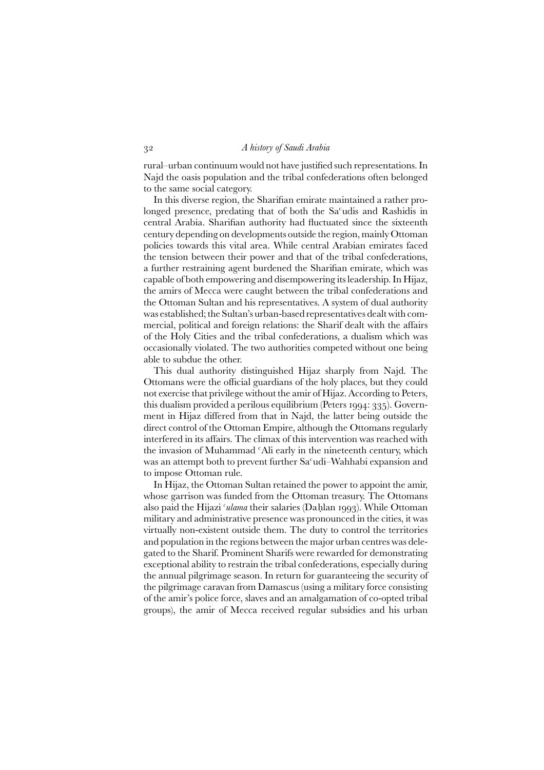rural–urban continuum would not have justified such representations. In Najd the oasis population and the tribal confederations often belonged to the same social category.

In this diverse region, the Sharifian emirate maintained a rather prolonged presence, predating that of both the Sa<sup>c</sup>udis and Rashidis in central Arabia. Sharifian authority had fluctuated since the sixteenth century dependingon developments outside the region, mainly Ottoman policies towards this vital area. While central Arabian emirates faced the tension between their power and that of the tribal confederations, a further restraining agent burdened the Sharifian emirate, which was capable of both empowering and disempowering its leadership. In Hijaz, the amirs of Mecca were caught between the tribal confederations and the Ottoman Sultan and his representatives. A system of dual authority was established; the Sultan's urban-based representatives dealt with commercial, political and foreign relations: the Sharif dealt with the affairs of the Holy Cities and the tribal confederations, a dualism which was occasionally violated. The two authorities competed without one being able to subdue the other.

This dual authority distinguished Hijaz sharply from Najd. The Ottomans were the official guardians of the holy places, but they could not exercise that privilege without the amir of Hijaz. According to Peters, this dualism provided a perilous equilibrium (Peters  $1994:335$ ). Government in Hijaz differed from that in Najd, the latter being outside the direct control of the Ottoman Empire, although the Ottomans regularly interfered in its affairs. The climax of this intervention was reached with the invasion of Muhammad 'Ali early in the nineteenth century, which was an attempt both to prevent further  $\mathrm{Sa}^c$ udi–Wahhabi expansion and to impose Ottoman rule.

In Hijaz, the Ottoman Sultan retained the power to appoint the amir, whose garrison was funded from the Ottoman treasury. The Ottomans also paid the Hijazi *culama* their salaries (Dahlan 1993). While Ottoman military and administrative presence was pronounced in the cities, it was virtually non-existent outside them. The duty to control the territories and population in the regions between the major urban centres was delegated to the Sharif. Prominent Sharifs were rewarded for demonstrating exceptional ability to restrain the tribal confederations, especially during the annual pilgrimage season. In return for guaranteeing the security of the pilgrimage caravan from Damascus (using a military force consisting of the amir's police force, slaves and an amalgamation of co-opted tribal groups), the amir of Mecca received regular subsidies and his urban